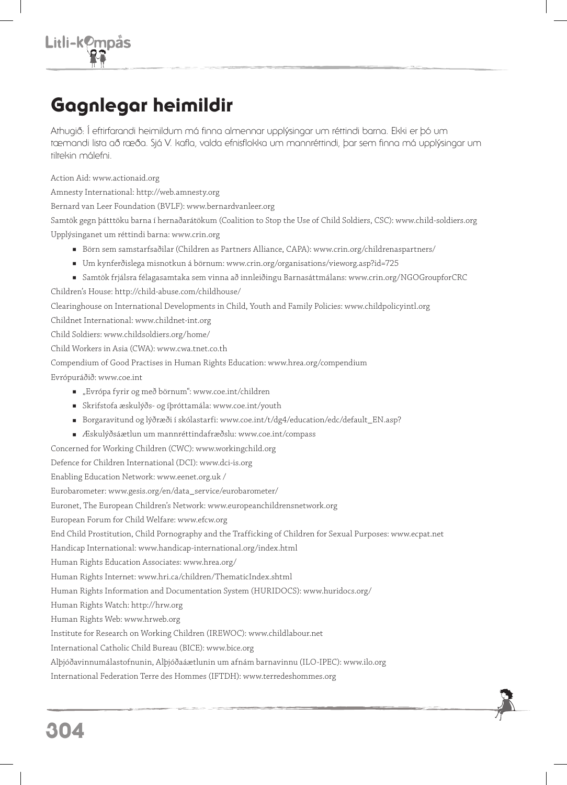## Gagnlegar heimildir

Athugið: Í eftirfarandi heimildum má finna almennar upplýsingar um réttindi barna. Ekki er þó um tæmandi lista að ræða. Sjá V. kafla, valda efnisflokka um mannréttindi, þar sem finna má upplýsingar um tiltekin málefni.

Action Aid: www.actionaid.org

Amnesty International: http://web.amnesty.org

Bernard van Leer Foundation (BVLF): www.bernardvanleer.org

Samtök gegn þátttöku barna í hernaðarátökum (Coalition to Stop the Use of Child Soldiers, CSC): www.child-soldiers.org Upplýsinganet um réttindi barna: www.crin.org

- Börn sem samstarfsaðilar (Children as Partners Alliance, CAPA): www.crin.org/childrenaspartners/
- Um kynferðislega misnotkun á börnum: www.crin.org/organisations/vieworg.asp?id=725
- Samtök frjálsra félagasamtaka sem vinna að innleiðingu Barnasáttmálans: www.crin.org/NGOGroupforCRC

Children's House: http://child-abuse.com/childhouse/

Clearinghouse on International Developments in Child, Youth and Family Policies: www.childpolicyintl.org

Childnet International: www.childnet-int.org

Child Soldiers: www.childsoldiers.org/home/

Child Workers in Asia (CWA): www.cwa.tnet.co.th

Compendium of Good Practises in Human Rights Education: www.hrea.org/compendium

Evrópuráðið: www.coe.int

- "Evrópa fyrir og með börnum": www.coe.int/children
- Skrifstofa æskulýðs- og íþróttamála: www.coe.int/youth
- Borgaravitund og lýðræði í skólastarfi: www.coe.int/t/dg4/education/edc/default\_EN.asp?
- Æskulýðsáætlun um mannréttindafræðslu: www.coe.int/compass

Concerned for Working Children (CWC): www.workingchild.org

Defence for Children International (DCI): www.dci-is.org

Enabling Education Network: www.eenet.org.uk /

Eurobarometer: www.gesis.org/en/data\_service/eurobarometer/

Euronet, The European Children's Network: www.europeanchildrensnetwork.org

European Forum for Child Welfare: www.efcw.org

End Child Prostitution, Child Pornography and the Trafficking of Children for Sexual Purposes: www.ecpat.net

Handicap International: www.handicap-international.org/index.html

Human Rights Education Associates: www.hrea.org/

Human Rights Internet: www.hri.ca/children/ThematicIndex.shtml

Human Rights Information and Documentation System (HURIDOCS): www.huridocs.org/

Human Rights Watch: http://hrw.org

Human Rights Web: www.hrweb.org

Institute for Research on Working Children (IREWOC): www.childlabour.net

International Catholic Child Bureau (BICE): www.bice.org

Alþjóðavinnumálastofnunin, Alþjóðaáætlunin um afnám barnavinnu (ILO-IPEC): www.ilo.org

International Federation Terre des Hommes (IFTDH): www.terredeshommes.org